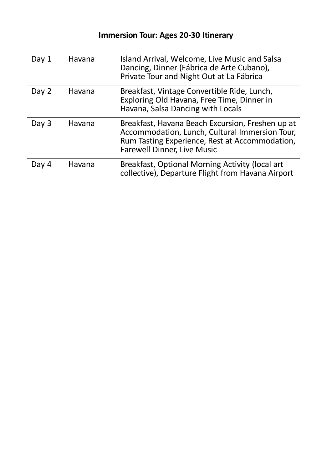| Day 1   | Havana | Island Arrival, Welcome, Live Music and Salsa<br>Dancing, Dinner (Fábrica de Arte Cubano),<br>Private Tour and Night Out at La Fábrica                                                     |
|---------|--------|--------------------------------------------------------------------------------------------------------------------------------------------------------------------------------------------|
| Day 2   | Havana | Breakfast, Vintage Convertible Ride, Lunch,<br>Exploring Old Havana, Free Time, Dinner in<br>Havana, Salsa Dancing with Locals                                                             |
| Day $3$ | Havana | Breakfast, Havana Beach Excursion, Freshen up at<br>Accommodation, Lunch, Cultural Immersion Tour,<br>Rum Tasting Experience, Rest at Accommodation,<br><b>Farewell Dinner, Live Music</b> |
| Day 4   | Havana | Breakfast, Optional Morning Activity (local art<br>collective), Departure Flight from Havana Airport                                                                                       |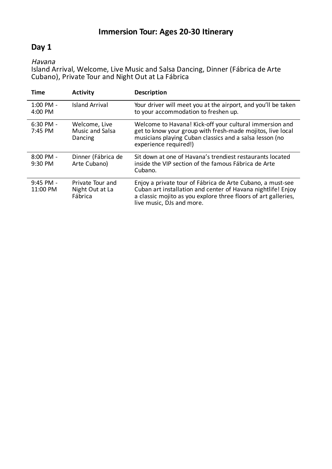## **Day 1**

#### Havana

Island Arrival, Welcome, Live Music and Salsa Dancing, Dinner (Fábrica de Arte Cubano), Private Tour and Night Out at La Fábrica

| <b>Time</b>                    | <b>Activity</b>                                | <b>Description</b>                                                                                                                                                                                                        |
|--------------------------------|------------------------------------------------|---------------------------------------------------------------------------------------------------------------------------------------------------------------------------------------------------------------------------|
| $1:00 \text{ PM} -$<br>4:00 PM | <b>Island Arrival</b>                          | Your driver will meet you at the airport, and you'll be taken<br>to your accommodation to freshen up.                                                                                                                     |
| $6:30$ PM -<br>7:45 PM         | Welcome, Live<br>Music and Salsa<br>Dancing    | Welcome to Havana! Kick-off your cultural immersion and<br>get to know your group with fresh-made mojitos, live local<br>musicians playing Cuban classics and a salsa lesson (no<br>experience required!)                 |
| $8:00$ PM -<br>9:30 PM         | Dinner (Fábrica de<br>Arte Cubano)             | Sit down at one of Havana's trendiest restaurants located<br>inside the VIP section of the famous Fábrica de Arte<br>Cubano.                                                                                              |
| $9:45$ PM -<br>11:00 PM        | Private Tour and<br>Night Out at La<br>Fábrica | Enjoy a private tour of Fábrica de Arte Cubano, a must-see<br>Cuban art installation and center of Havana nightlife! Enjoy<br>a classic mojito as you explore three floors of art galleries,<br>live music, DJs and more. |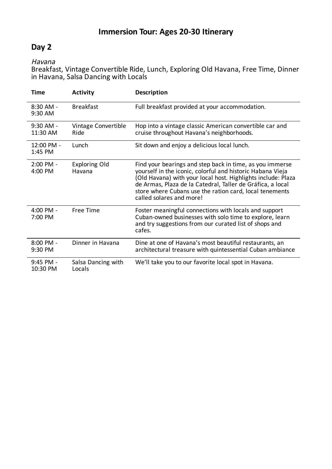## **Day 2**

Havana

Breakfast, Vintage Convertible Ride, Lunch, Exploring Old Havana, Free Time, Dinner in Havana, Salsa Dancing with Locals

| Time                             | <b>Activity</b>                | Description                                                                                                                                                                                                                                                                                                                                 |
|----------------------------------|--------------------------------|---------------------------------------------------------------------------------------------------------------------------------------------------------------------------------------------------------------------------------------------------------------------------------------------------------------------------------------------|
| $8:30$ AM -<br>9:30 AM           | <b>Breakfast</b>               | Full breakfast provided at your accommodation.                                                                                                                                                                                                                                                                                              |
| $9:30$ AM -<br>11:30 AM          | Vintage Convertible<br>Ride    | Hop into a vintage classic American convertible car and<br>cruise throughout Havana's neighborhoods.                                                                                                                                                                                                                                        |
| 12:00 PM -<br>1:45 PM            | Lunch                          | Sit down and enjoy a delicious local lunch.                                                                                                                                                                                                                                                                                                 |
| $2:00$ PM -<br>4:00 PM           | <b>Exploring Old</b><br>Havana | Find your bearings and step back in time, as you immerse<br>yourself in the iconic, colorful and historic Habana Vieja<br>(Old Havana) with your local host. Highlights include: Plaza<br>de Armas, Plaza de la Catedral, Taller de Gráfica, a local<br>store where Cubans use the ration card, local tenements<br>called solares and more! |
| 4:00 PM -<br>$7:00 \text{ PM}$   | Free Time                      | Foster meaningful connections with locals and support<br>Cuban-owned businesses with solo time to explore, learn<br>and try suggestions from our curated list of shops and<br>cafes.                                                                                                                                                        |
| $8:00 \, \text{PM}$ -<br>9:30 PM | Dinner in Havana               | Dine at one of Havana's most beautiful restaurants, an<br>architectural treasure with quintessential Cuban ambiance                                                                                                                                                                                                                         |
| 9:45 PM -<br>10:30 PM            | Salsa Dancing with<br>Locals   | We'll take you to our favorite local spot in Havana.                                                                                                                                                                                                                                                                                        |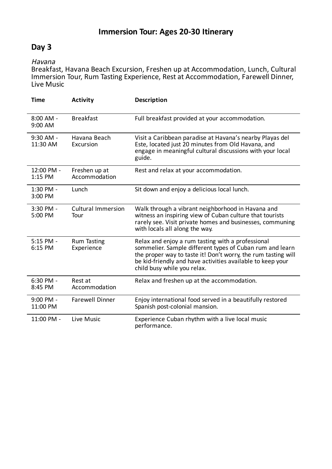## **Day 3**

#### Havana

Breakfast, Havana Beach Excursion, Freshen up at Accommodation, Lunch, Cultural Immersion Tour, Rum Tasting Experience, Rest at Accommodation, Farewell Dinner, Live Music

| <b>Time</b>            | <b>Activity</b>                   | <b>Description</b>                                                                                                                                                                                                                                                          |
|------------------------|-----------------------------------|-----------------------------------------------------------------------------------------------------------------------------------------------------------------------------------------------------------------------------------------------------------------------------|
| $8:00$ AM -<br>9:00 AM | <b>Breakfast</b>                  | Full breakfast provided at your accommodation.                                                                                                                                                                                                                              |
| 9:30 AM -<br>11:30 AM  | Havana Beach<br>Excursion         | Visit a Caribbean paradise at Havana's nearby Playas del<br>Este, located just 20 minutes from Old Havana, and<br>engage in meaningful cultural discussions with your local<br>guide.                                                                                       |
| 12:00 PM -<br>1:15 PM  | Freshen up at<br>Accommodation    | Rest and relax at your accommodation.                                                                                                                                                                                                                                       |
| 1:30 PM -<br>3:00 PM   | Lunch                             | Sit down and enjoy a delicious local lunch.                                                                                                                                                                                                                                 |
| 3:30 PM -<br>5:00 PM   | <b>Cultural Immersion</b><br>Tour | Walk through a vibrant neighborhood in Havana and<br>witness an inspiring view of Cuban culture that tourists<br>rarely see. Visit private homes and businesses, communing<br>with locals all along the way.                                                                |
| 5:15 PM -<br>6:15 PM   | <b>Rum Tasting</b><br>Experience  | Relax and enjoy a rum tasting with a professional<br>sommelier. Sample different types of Cuban rum and learn<br>the proper way to taste it! Don't worry, the rum tasting will<br>be kid-friendly and have activities available to keep your<br>child busy while you relax. |
| 6:30 PM -<br>8:45 PM   | Rest at<br>Accommodation          | Relax and freshen up at the accommodation.                                                                                                                                                                                                                                  |
| 9:00 PM -<br>11:00 PM  | <b>Farewell Dinner</b>            | Enjoy international food served in a beautifully restored<br>Spanish post-colonial mansion.                                                                                                                                                                                 |
| 11:00 PM -             | Live Music                        | Experience Cuban rhythm with a live local music<br>performance.                                                                                                                                                                                                             |